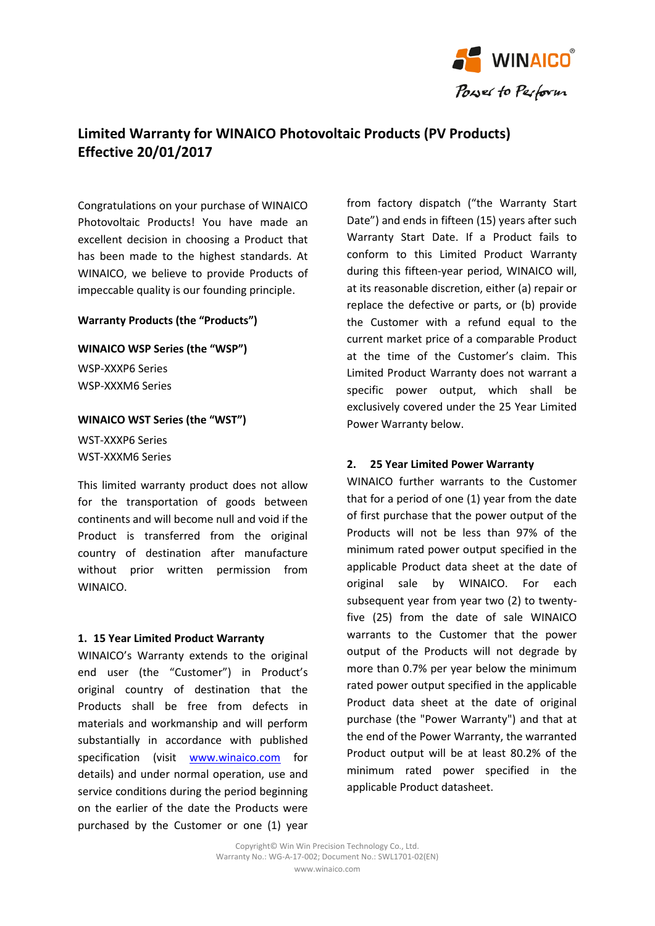

# **Limited Warranty for WINAICO Photovoltaic Products (PV Products) Effective 20/01/2017**

Congratulations on your purchase of WINAICO Photovoltaic Products! You have made an excellent decision in choosing a Product that has been made to the highest standards. At WINAICO, we believe to provide Products of impeccable quality is our founding principle.

### **Warranty Products (the "Products")**

**WINAICO WSP Series (the "WSP")** WSP-XXXP6 Series

WSP-XXXM6 Series

## **WINAICO WST Series (the "WST")**

WST-XXXP6 Series WST-XXXM6 Series

This limited warranty product does not allow for the transportation of goods between continents and will become null and void if the Product is transferred from the original country of destination after manufacture without prior written permission from WINAICO.

## **1. 15 Year Limited Product Warranty**

WINAICO's Warranty extends to the original end user (the "Customer") in Product's original country of destination that the Products shall be free from defects in materials and workmanship and will perform substantially in accordance with published specification (visit [www.winaico.com](http://www.winaico.com/) for details) and under normal operation, use and service conditions during the period beginning on the earlier of the date the Products were purchased by the Customer or one (1) year

from factory dispatch ("the Warranty Start Date") and ends in fifteen (15) years after such Warranty Start Date. If a Product fails to conform to this Limited Product Warranty during this fifteen-year period, WINAICO will, at its reasonable discretion, either (a) repair or replace the defective or parts, or (b) provide the Customer with a refund equal to the current market price of a comparable Product at the time of the Customer's claim. This Limited Product Warranty does not warrant a specific power output, which shall be exclusively covered under the 25 Year Limited Power Warranty below.

# **2. 25 Year Limited Power Warranty**

WINAICO further warrants to the Customer that for a period of one (1) year from the date of first purchase that the power output of the Products will not be less than 97% of the minimum rated power output specified in the applicable Product data sheet at the date of original sale by WINAICO. For each subsequent year from year two (2) to twentyfive (25) from the date of sale WINAICO warrants to the Customer that the power output of the Products will not degrade by more than 0.7% per year below the minimum rated power output specified in the applicable Product data sheet at the date of original purchase (the "Power Warranty") and that at the end of the Power Warranty, the warranted Product output will be at least 80.2% of the minimum rated power specified in the applicable Product datasheet.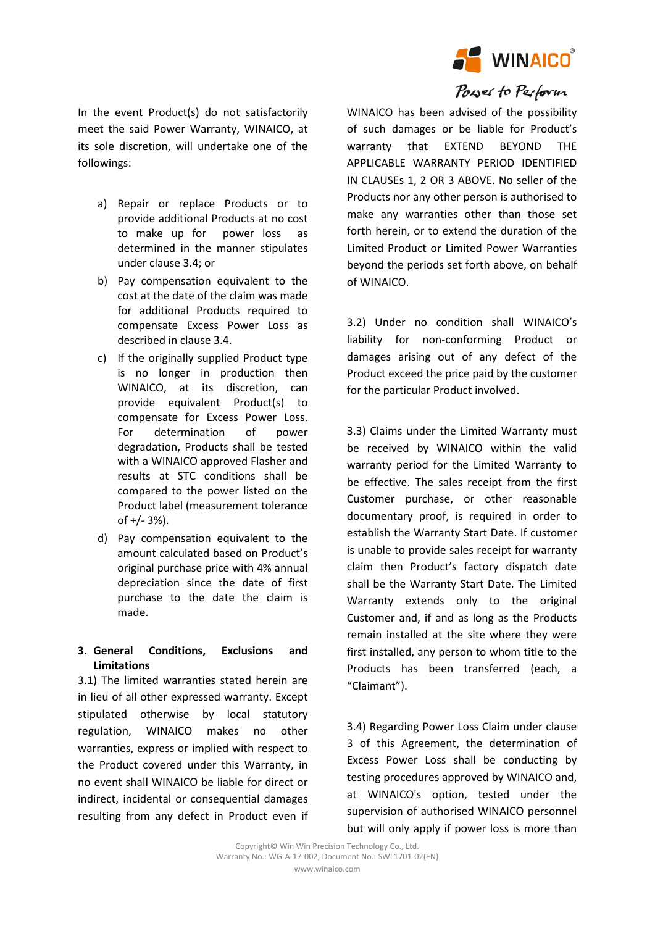

In the event Product(s) do not satisfactorily meet the said Power Warranty, WINAICO, at its sole discretion, will undertake one of the followings:

- a) Repair or replace Products or to provide additional Products at no cost to make up for power loss as determined in the manner stipulates under clause 3.4; or
- b) Pay compensation equivalent to the cost at the date of the claim was made for additional Products required to compensate Excess Power Loss as described in clause 3.4.
- c) If the originally supplied Product type is no longer in production then WINAICO, at its discretion, can provide equivalent Product(s) to compensate for Excess Power Loss. For determination of power degradation, Products shall be tested with a WINAICO approved Flasher and results at STC conditions shall be compared to the power listed on the Product label (measurement tolerance of +/- 3%).
- d) Pay compensation equivalent to the amount calculated based on Product's original purchase price with 4% annual depreciation since the date of first purchase to the date the claim is made.

## **3. General Conditions, Exclusions and Limitations**

3.1) The limited warranties stated herein are in lieu of all other expressed warranty. Except stipulated otherwise by local statutory regulation, WINAICO makes no other warranties, express or implied with respect to the Product covered under this Warranty, in no event shall WINAICO be liable for direct or indirect, incidental or consequential damages resulting from any defect in Product even if

WINAICO has been advised of the possibility of such damages or be liable for Product's warranty that EXTEND BEYOND THE APPLICABLE WARRANTY PERIOD IDENTIFIED IN CLAUSEs 1, 2 OR 3 ABOVE. No seller of the Products nor any other person is authorised to make any warranties other than those set forth herein, or to extend the duration of the Limited Product or Limited Power Warranties beyond the periods set forth above, on behalf of WINAICO.

3.2) Under no condition shall WINAICO's liability for non-conforming Product or damages arising out of any defect of the Product exceed the price paid by the customer for the particular Product involved.

3.3) Claims under the Limited Warranty must be received by WINAICO within the valid warranty period for the Limited Warranty to be effective. The sales receipt from the first Customer purchase, or other reasonable documentary proof, is required in order to establish the Warranty Start Date. If customer is unable to provide sales receipt for warranty claim then Product's factory dispatch date shall be the Warranty Start Date. The Limited Warranty extends only to the original Customer and, if and as long as the Products remain installed at the site where they were first installed, any person to whom title to the Products has been transferred (each, a "Claimant").

3.4) Regarding Power Loss Claim under clause 3 of this Agreement, the determination of Excess Power Loss shall be conducting by testing procedures approved by WINAICO and, at WINAICO's option, tested under the supervision of authorised WINAICO personnel but will only apply if power loss is more than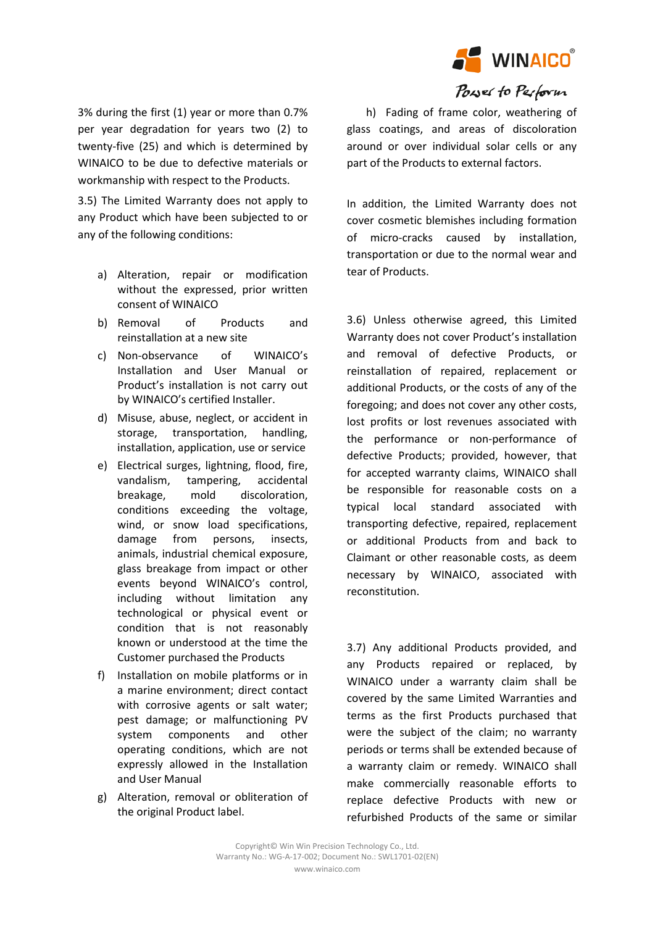

3% during the first (1) year or more than 0.7% per year degradation for years two (2) to twenty-five (25) and which is determined by WINAICO to be due to defective materials or workmanship with respect to the Products.

3.5) The Limited Warranty does not apply to any Product which have been subjected to or any of the following conditions:

- a) Alteration, repair or modification without the expressed, prior written consent of WINAICO
- b) Removal of Products and reinstallation at a new site
- c) Non-observance of WINAICO's Installation and User Manual or Product's installation is not carry out by WINAICO's certified Installer.
- d) Misuse, abuse, neglect, or accident in storage, transportation, handling, installation, application, use or service
- e) Electrical surges, lightning, flood, fire, vandalism, tampering, accidental breakage, mold discoloration, conditions exceeding the voltage, wind, or snow load specifications, damage from persons, insects, animals, industrial chemical exposure, glass breakage from impact or other events beyond WINAICO's control, including without limitation any technological or physical event or condition that is not reasonably known or understood at the time the Customer purchased the Products
- f) Installation on mobile platforms or in a marine environment; direct contact with corrosive agents or salt water; pest damage; or malfunctioning PV system components and other operating conditions, which are not expressly allowed in the Installation and User Manual
- g) Alteration, removal or obliteration of the original Product label.

 h) Fading of frame color, weathering of glass coatings, and areas of discoloration around or over individual solar cells or any part of the Products to external factors.

In addition, the Limited Warranty does not cover cosmetic blemishes including formation of micro-cracks caused by installation, transportation or due to the normal wear and tear of Products.

3.6) Unless otherwise agreed, this Limited Warranty does not cover Product's installation and removal of defective Products, or reinstallation of repaired, replacement or additional Products, or the costs of any of the foregoing; and does not cover any other costs, lost profits or lost revenues associated with the performance or non-performance of defective Products; provided, however, that for accepted warranty claims, WINAICO shall be responsible for reasonable costs on a typical local standard associated with transporting defective, repaired, replacement or additional Products from and back to Claimant or other reasonable costs, as deem necessary by WINAICO, associated with reconstitution.

3.7) Any additional Products provided, and any Products repaired or replaced, by WINAICO under a warranty claim shall be covered by the same Limited Warranties and terms as the first Products purchased that were the subject of the claim; no warranty periods or terms shall be extended because of a warranty claim or remedy. WINAICO shall make commercially reasonable efforts to replace defective Products with new or refurbished Products of the same or similar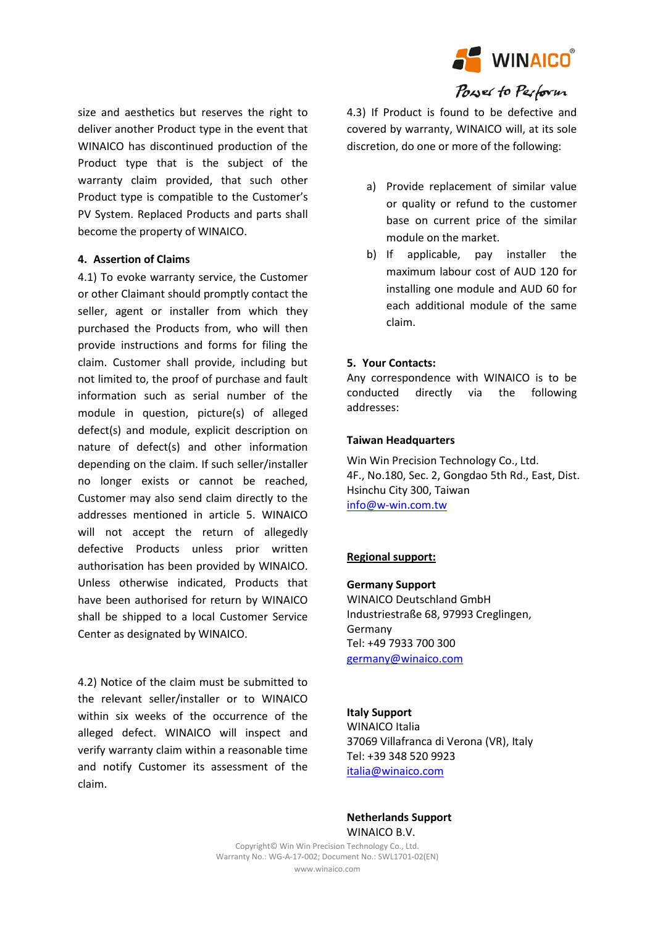

size and aesthetics but reserves the right to deliver another Product type in the event that WINAICO has discontinued production of the Product type that is the subject of the warranty claim provided, that such other Product type is compatible to the Customer's PV System. Replaced Products and parts shall become the property of WINAICO.

## **4. Assertion of Claims**

4.1) To evoke warranty service, the Customer or other Claimant should promptly contact the seller, agent or installer from which they purchased the Products from, who will then provide instructions and forms for filing the claim. Customer shall provide, including but not limited to, the proof of purchase and fault information such as serial number of the module in question, picture(s) of alleged defect(s) and module, explicit description on nature of defect(s) and other information depending on the claim. If such seller/installer no longer exists or cannot be reached, Customer may also send claim directly to the addresses mentioned in article 5. WINAICO will not accept the return of allegedly defective Products unless prior written authorisation has been provided by WINAICO. Unless otherwise indicated, Products that have been authorised for return by WINAICO shall be shipped to a local Customer Service Center as designated by WINAICO.

4.2) Notice of the claim must be submitted to the relevant seller/installer or to WINAICO within six weeks of the occurrence of the alleged defect. WINAICO will inspect and verify warranty claim within a reasonable time and notify Customer its assessment of the claim.

4.3) If Product is found to be defective and covered by warranty, WINAICO will, at its sole discretion, do one or more of the following:

- a) Provide replacement of similar value or quality or refund to the customer base on current price of the similar module on the market.
- b) If applicable, pay installer the maximum labour cost of AUD 120 for installing one module and AUD 60 for each additional module of the same claim.

# **5. Your Contacts:**

Any correspondence with WINAICO is to be conducted directly via the following addresses:

## **Taiwan Headquarters**

Win Win Precision Technology Co., Ltd. 4F., No.180, Sec. 2, Gongdao 5th Rd., East, Dist. Hsinchu City 300, Taiwan [info@w-win.com.tw](mailto:info@w-win.com.tw)

# **Regional support:**

**Germany Support** WINAICO Deutschland GmbH Industriestraße 68, 97993 Creglingen, Germany Tel: +49 7933 700 300 [germany@winaico.com](mailto:germany@winaico.com)

## **Italy Support**

WINAICO Italia 37069 Villafranca di Verona (VR), Italy Tel: +39 348 520 9923 [italia@winaico.com](mailto:italia@winaico.com)

## **Netherlands Support** WINAICO B.V.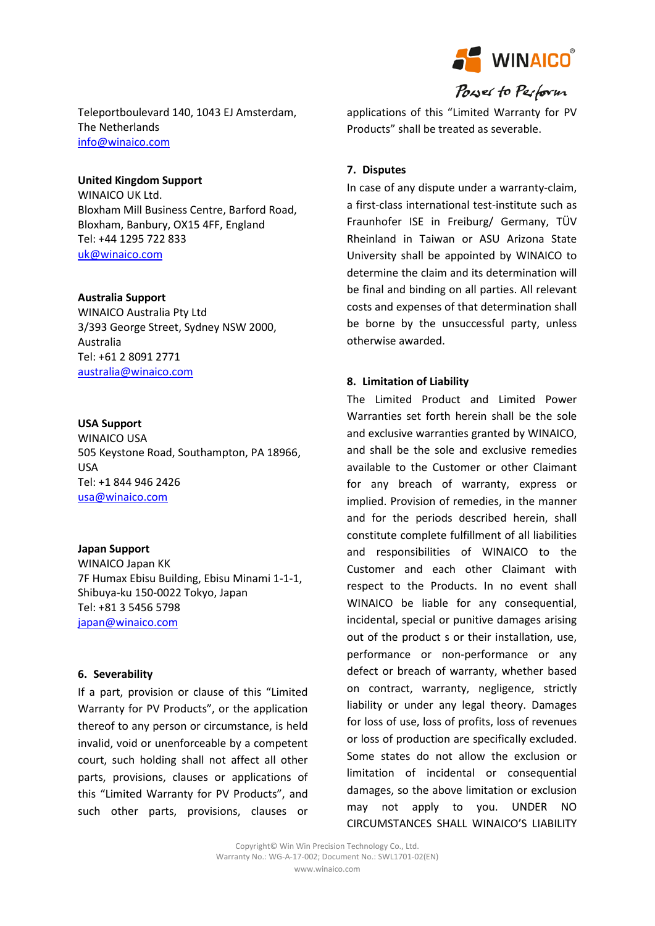

Teleportboulevard 140, 1043 EJ Amsterdam, The Netherlands [info@winaico.com](mailto:info@winaico.com)

## **United Kingdom Support**

WINAICO UK Ltd. Bloxham Mill Business Centre, Barford Road, Bloxham, Banbury, OX15 4FF, England Tel: +44 1295 722 833 [uk@winaico.com](mailto:uk@winaico.com)

#### **Australia Support**

WINAICO Australia Pty Ltd 3/393 George Street, Sydney NSW 2000, Australia Tel: +61 2 8091 2771 [australia@winaico.com](mailto:australia@winaico.com)

#### **USA Support**

WINAICO USA 505 Keystone Road, Southampton, PA 18966, USA Tel: +1 844 946 2426 [usa@winaico.com](mailto:usa@winaico.com)

#### **Japan Support**

WINAICO Japan KK 7F Humax Ebisu Building, Ebisu Minami 1-1-1, Shibuya-ku 150-0022 Tokyo, Japan Tel: +81 3 5456 5798 [japan@winaico.com](mailto:usa@winaico.com)

#### **6. Severability**

If a part, provision or clause of this "Limited Warranty for PV Products", or the application thereof to any person or circumstance, is held invalid, void or unenforceable by a competent court, such holding shall not affect all other parts, provisions, clauses or applications of this "Limited Warranty for PV Products", and such other parts, provisions, clauses or applications of this "Limited Warranty for PV Products" shall be treated as severable.

#### **7. Disputes**

In case of any dispute under a warranty-claim, a first-class international test-institute such as Fraunhofer ISE in Freiburg/ Germany, TÜV Rheinland in Taiwan or ASU Arizona State University shall be appointed by WINAICO to determine the claim and its determination will be final and binding on all parties. All relevant costs and expenses of that determination shall be borne by the unsuccessful party, unless otherwise awarded.

#### **8. Limitation of Liability**

The Limited Product and Limited Power Warranties set forth herein shall be the sole and exclusive warranties granted by WINAICO, and shall be the sole and exclusive remedies available to the Customer or other Claimant for any breach of warranty, express or implied. Provision of remedies, in the manner and for the periods described herein, shall constitute complete fulfillment of all liabilities and responsibilities of WINAICO to the Customer and each other Claimant with respect to the Products. In no event shall WINAICO be liable for any consequential, incidental, special or punitive damages arising out of the product s or their installation, use, performance or non-performance or any defect or breach of warranty, whether based on contract, warranty, negligence, strictly liability or under any legal theory. Damages for loss of use, loss of profits, loss of revenues or loss of production are specifically excluded. Some states do not allow the exclusion or limitation of incidental or consequential damages, so the above limitation or exclusion may not apply to you. UNDER NO CIRCUMSTANCES SHALL WINAICO'S LIABILITY